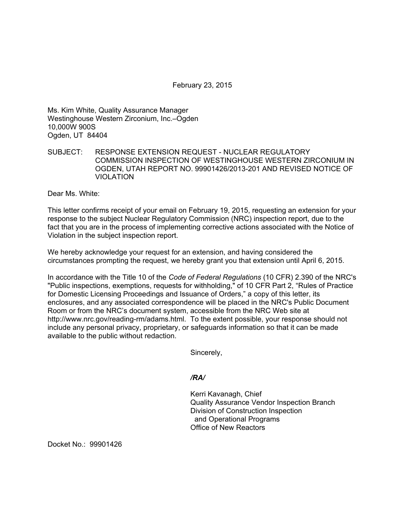February 23, 2015

Ms. Kim White, Quality Assurance Manager Westinghouse Western Zirconium, Inc.–Ogden 10,000W 900S Ogden, UT 84404

## SUBJECT: RESPONSE EXTENSION REQUEST - NUCLEAR REGULATORY COMMISSION INSPECTION OF WESTINGHOUSE WESTERN ZIRCONIUM IN OGDEN, UTAH REPORT NO. 99901426/2013-201 AND REVISED NOTICE OF VIOLATION

Dear Ms. White:

This letter confirms receipt of your email on February 19, 2015, requesting an extension for your response to the subject Nuclear Regulatory Commission (NRC) inspection report, due to the fact that you are in the process of implementing corrective actions associated with the Notice of Violation in the subject inspection report.

We hereby acknowledge your request for an extension, and having considered the circumstances prompting the request, we hereby grant you that extension until April 6, 2015.

In accordance with the Title 10 of the *Code of Federal Regulations* (10 CFR) 2.390 of the NRC's "Public inspections, exemptions, requests for withholding," of 10 CFR Part 2, "Rules of Practice for Domestic Licensing Proceedings and Issuance of Orders," a copy of this letter, its enclosures, and any associated correspondence will be placed in the NRC's Public Document Room or from the NRC's document system, accessible from the NRC Web site at http://www.nrc.gov/reading-rm/adams.html. To the extent possible, your response should not include any personal privacy, proprietary, or safeguards information so that it can be made available to the public without redaction.

Sincerely,

*/RA/* 

Kerri Kavanagh, Chief Quality Assurance Vendor Inspection Branch Division of Construction Inspection and Operational Programs Office of New Reactors

Docket No.: 99901426